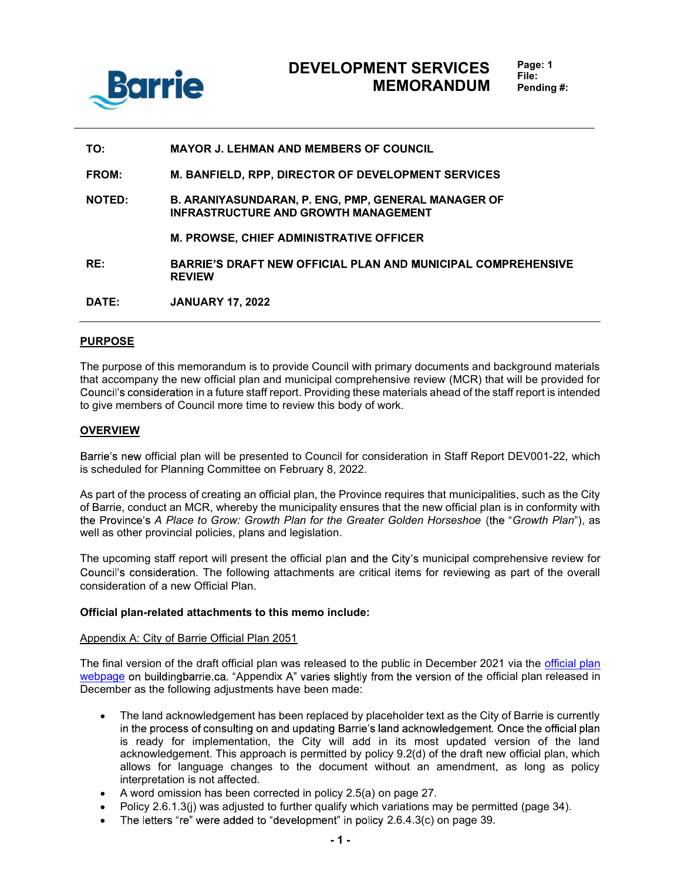

| TO:           | <b>MAYOR J. LEHMAN AND MEMBERS OF COUNCIL</b>                                                             |
|---------------|-----------------------------------------------------------------------------------------------------------|
| FROM:         | <b>M. BANFIELD, RPP, DIRECTOR OF DEVELOPMENT SERVICES</b>                                                 |
| <b>NOTED:</b> | <b>B. ARANIYASUNDARAN, P. ENG, PMP, GENERAL MANAGER OF</b><br><b>INFRASTRUCTURE AND GROWTH MANAGEMENT</b> |
|               | <b>M. PROWSE, CHIEF ADMINISTRATIVE OFFICER</b>                                                            |
| RE:           | <b>BARRIE'S DRAFT NEW OFFICIAL PLAN AND MUNICIPAL COMPREHENSIVE</b><br><b>REVIEW</b>                      |
| DATE:         | <b>JANUARY 17, 2022</b>                                                                                   |

#### PURPOSE

The purpose of this memorandum is to provide Council with primary documents and background materials that accompany the new official plan and municipal comprehensive review (MCR) that will be provided for Council's consideration in a future staff report. Providing these materials ahead of the staff report is intended to give members of Council more time to review this body of work.

### **OVERVIEW**

Barrie's new official plan will be presented to Council for consideration in Staff Report DEV001-22, which is scheduled for Planning Committee on February 8, 2022.

As part of the process of creating an official plan, the Province requires that municipalities, such as the City of Barrie, conduct an MCR, whereby the municipality ensures that the new official plan is in conformity with the Province's A Place to Grow: Growth Plan for the Greater Golden Horseshoe (the "Growth Plan"), as well as other provincial policies, plans and legislation.

The upcoming staff report will present the official plan and the City's municipal comprehensive review for Council's consideration. The following attachments are critical items for reviewing as part of the overall consideration of a new Official Plan.

#### Official plan-related attachments to this memo include:

#### Appendix A: City of Barrie Official Plan 2051

The final version of the draft official plan was released to the public in December 2021 via the official plan webpage on buildingbarrie.ca. "Appendix A" varies slightly from the version of the official plan released in December as the following adjustments have been made:

- The land acknowledgement has been replaced by placeholder text as the City of Barrie is currently  $\bullet$ in the process of consulting on and updating Barrie's land acknowledgement. Once the official plan is ready for implementation, the City will add in its most updated version of the land acknowledgement. This approach is permitted by policy 9.2(d) of the draft new official plan, which allows for language changes to the document without an amendment, as long as policy interpretation is not affected.
- A word omission has been corrected in policy 2.5(a) on page 27.
- Policy 2.6.1.3(j) was adjusted to further qualify which variations may be permitted (page 34).
- The letters "re" were added to "development" in policy  $2.6.4.3(c)$  on page 39.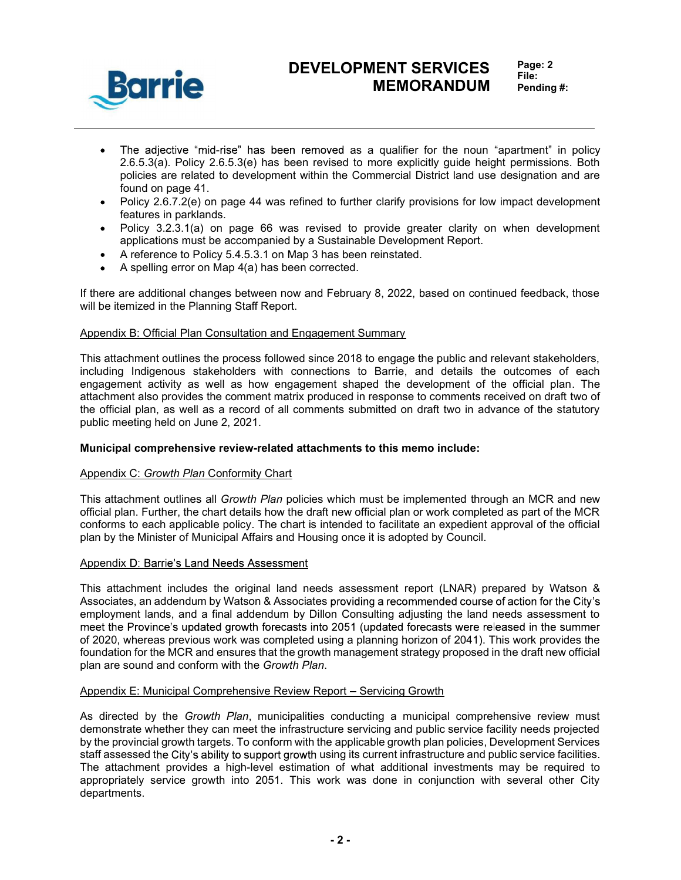

# DEVELOPMENT SERVICES MEMORANDUM

- The adjective "mid-rise" has been removed as a qualifier for the noun "apartment" in policy 2.6.5.3(a). Policy 2.6.5.3(e) has been revised to more explicitly guide height permissions. Both policies are related to development within the Commercial District land use designation and are found on page 41.
- Policy 2.6.7.2(e) on page 44 was refined to further clarify provisions for low impact development features in parklands.
- Policy 3.2.3.1(a) on page 66 was revised to provide greater clarity on when development applications must be accompanied by a Sustainable Development Report.
- A reference to Policy 5.4.5.3.1 on Map 3 has been reinstated.
- A spelling error on Map 4(a) has been corrected.

If there are additional changes between now and February 8, 2022, based on continued feedback, those will be itemized in the Planning Staff Report.

#### Appendix B: Official Plan Consultation and Engagement Summary

This attachment outlines the process followed since 2018 to engage the public and relevant stakeholders, including Indigenous stakeholders with connections to Barrie, and details the outcomes of each engagement activity as well as how engagement shaped the development of the official plan. The attachment also provides the comment matrix produced in response to comments received on draft two of the official plan, as well as a record of all comments submitted on draft two in advance of the statutory public meeting held on June 2, 2021.

#### Municipal comprehensive review-related attachments to this memo include:

#### Appendix C: Growth Plan Conformity Chart

This attachment outlines all Growth Plan policies which must be implemented through an MCR and new official plan. Further, the chart details how the draft new official plan or work completed as part of the MCR conforms to each applicable policy. The chart is intended to facilitate an expedient approval of the official plan by the Minister of Municipal Affairs and Housing once it is adopted by Council.

#### Appendix D: Barrie's Land Needs Assessment

This attachment includes the original land needs assessment report (LNAR) prepared by Watson & Associates, an addendum by Watson & Associates providing a recommended course of action for the City's employment lands, and a final addendum by Dillon Consulting adjusting the land needs assessment to meet the Province's updated growth forecasts into 2051 (updated forecasts were released in the summer of 2020, whereas previous work was completed using a planning horizon of 2041). This work provides the foundation for the MCR and ensures that the growth management strategy proposed in the draft new official plan are sound and conform with the Growth Plan.

#### Appendix E: Municipal Comprehensive Review Report - Servicing Growth

As directed by the Growth Plan, municipalities conducting a municipal comprehensive review must demonstrate whether they can meet the infrastructure servicing and public service facility needs projected by the provincial growth targets. To conform with the applicable growth plan policies, Development Services staff assessed the City's ability to support growth using its current infrastructure and public service facilities. The attachment provides a high-level estimation of what additional investments may be required to appropriately service growth into 2051. This work was done in conjunction with several other City departments.